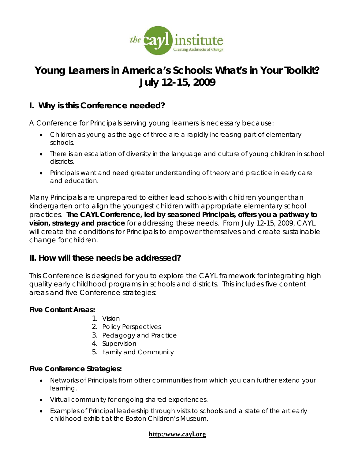

# **Young Learners in America's Schools: What's in Your Toolkit? July 12-15, 2009**

## **I. Why is this Conference needed?**

A Conference for Principals serving young learners is necessary because:

- Children as young as the age of three are a rapidly increasing part of elementary schools.
- There is an escalation of diversity in the language and culture of young children in school districts.
- Principals want and need greater understanding of theory and practice in early care and education.

Many Principals are unprepared to either lead schools with children younger than kindergarten or to align the youngest children with appropriate elementary school practices. **The CAYL Conference, led by seasoned Principals, offers you a pathway to vision, strategy and practice** for addressing these needs. From July 12-15, 2009, CAYL will create the conditions for Principals to empower themselves and create sustainable change for children.

## **II. How will these needs be addressed?**

This Conference is designed for you to explore the CAYL framework for integrating high quality early childhood programs in schools and districts. This includes five content areas and five Conference strategies:

#### **Five Content Areas:**

- 1. Vision
- 2. Policy Perspectives
- 3. Pedagogy and Practice
- 4. Supervision
- 5. Family and Community

#### **Five Conference Strategies:**

- Networks of Principals from other communities from which you can further extend your learning.
- Virtual community for ongoing shared experiences.
- Examples of Principal leadership through visits to schools and a state of the art early childhood exhibit at the Boston Children's Museum.

#### **http:/www.cayl.org**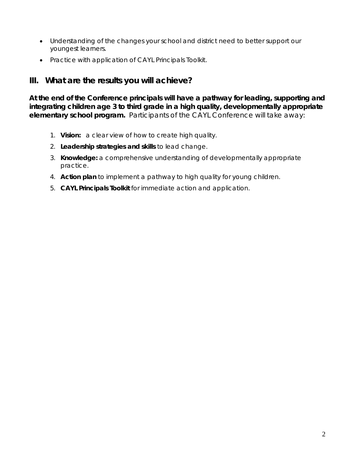- Understanding of the changes your school and district need to better support our youngest learners.
- Practice with application of *CAYL Principals Toolkit*.

## **III. What are the results you will achieve?**

**At the end of the Conference principals will have a pathway for leading, supporting and integrating children age 3 to third grade in a high quality, developmentally appropriate elementary school program.** Participants of the CAYL Conference will take away:

- 1. **Vision:** a clear view of how to create high quality.
- 2. **Leadership strategies and skills** to lead change.
- 3. **Knowledge:** a comprehensive understanding of developmentally appropriate practice.
- 4. **Action plan** to implement a pathway to high quality for young children.
- 5. *CAYL Principals Toolkit* for immediate action and application.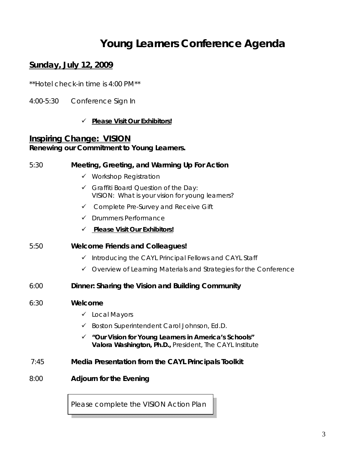# **Young Learners Conference Agenda**

# **Sunday, July 12, 2009**

*\*\*Hotel check-in time is 4:00 PM\*\** 

4:00-5:30 Conference Sign In

#### 9 *Please Visit Our Exhibitors!*

### **Inspiring Change: VISION Renewing our Commitment to Young Learners.**

# 5:30 **Meeting, Greeting, and Warming Up For Action**  $\checkmark$  Workshop Registration  $\checkmark$  Graffiti Board Question of the Day: VISION: What is your vision for young learners?  $\checkmark$  Complete Pre-Survey and Receive Gift  $\sqrt{ }$  Drummers Performance 9 *Please Visit Our Exhibitors!* 5:50 **Welcome Friends and Colleagues!**  $\checkmark$  Introducing the CAYL Principal Fellows and CAYL Staff  $\checkmark$  Overview of Learning Materials and Strategies for the Conference 6:00 **Dinner: Sharing the Vision and Building Community**  6:30 **Welcome**   $\checkmark$  Local Mayors  $\checkmark$  Boston Superintendent Carol Johnson, Ed.D. 9 *"Our Vision for Young Learners in America's Schools"*  **Valora Washington, Ph.D.,** President, The CAYL Institute 7:45 **Media Presentation from the** *CAYL Principals Toolkit* 8:00 **Adjourn for the Evening**

*Please complete the VISION Action Plan*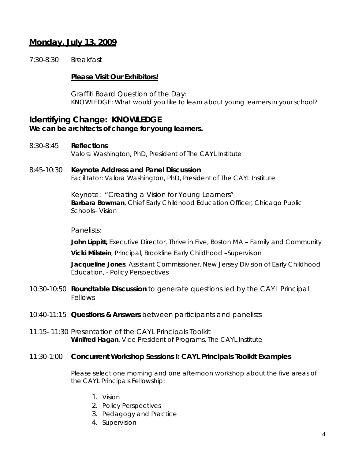## **Monday, July 13, 2009**

7:30-8:30 Breakfast

#### *Please Visit Our Exhibitors!*

Graffiti Board Question of the Day: KNOWLEDGE: What would you like to learn about young learners in your school?

## **Identifying Change: KNOWLEDGE**

*We can be architects of change for young learners.* 

- 8:30-8:45 **Reflections**  Valora Washington, PhD, President of The CAYL Institute
- 8:45-10:30 **Keynote Address and Panel Discussion** Facilitator: Valora Washington, PhD, President of The CAYL Institute

Keynote: "Creating a Vision for Young Learners" **Barbara Bowman**, Chief Early Childhood Education Officer, Chicago Public Schools– *Vision*

#### Panelists:

**John Lippitt,** Executive Director, Thrive in Five, Boston MA – *Family and Community*

**Vicki Milstein**, Principal, Brookline Early Childhood –*Supervision* 

**Jacqueline Jones**, Assistant Commissioner, New Jersey Division of Early Childhood Education, - *Policy Perspectives*

- 10:30-10:50 **Roundtable Discussion** to generate questions led by the CAYL Principal Fellows
- 10:40-11:15 **Questions & Answers** between participants and panelists
- 11:15- 11:30 Presentation of the *CAYL Principals Toolkit*  **Winifred Hagan**, Vice President of Programs, The CAYL Institute

#### 11:30-1:00 **Concurrent Workshop Sessions I:** *CAYL Principals Toolkit* **Examples**

Please select one morning and one afternoon workshop about the five areas of the CAYL Principals Fellowship:

- 1. Vision
- 2. Policy Perspectives
- 3. Pedagogy and Practice
- 4. Supervision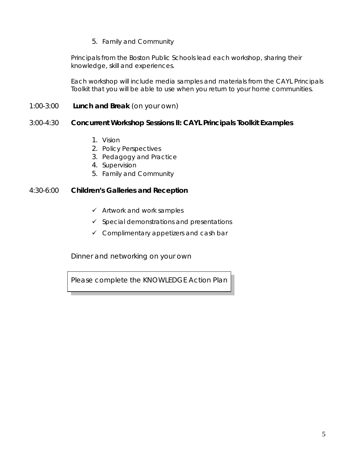#### 5. Family and Community

Principals from the Boston Public Schools lead each workshop, sharing their knowledge, skill and experiences.

Each workshop will include media samples and materials from the CAYL Principals Toolkit that you will be able to use when you return to your home communities.

#### 1:00-3:00 **Lunch and Break** (on your own)

#### 3:00-4:30 **Concurrent Workshop Sessions II:** *CAYL Principals Toolkit* **Examples**

- 1. Vision
- 2. Policy Perspectives
- 3. Pedagogy and Practice
- 4. Supervision
- 5. Family and Community

#### 4:30-6:00 **Children's Galleries and Reception**

- $\checkmark$  Artwork and work samples
- $\checkmark$  Special demonstrations and presentations
- $\checkmark$  Complimentary appetizers and cash bar

Dinner and networking on your own

*Please complete the KNOWLEDGE Action Plan*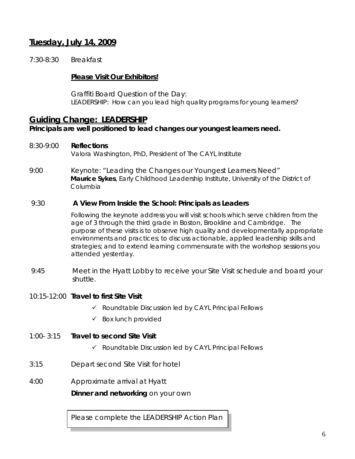# **Tuesday, July 14, 2009**

7:30-8:30 Breakfast

#### *Please Visit Our Exhibitors!*

Graffiti Board Question of the Day: LEADERSHIP: How can you lead high quality programs for young learners?

## **Guiding Change: LEADERSHIP**

#### *Principals are well positioned to lead changes our youngest learners need.*

#### 8:30-9:00 **Reflections**

Valora Washington, PhD, President of The CAYL Institute

9:00 Keynote: "Leading the Changes our Youngest Learners Need" **Maurice Sykes**, Early Childhood Leadership Institute, University of the District of Columbia

#### 9:30 **A View From Inside the School: Principals as Leaders**

Following the keynote address you will visit schools which serve children from the age of 3 through the third grade in Boston, Brookline and Cambridge. The purpose of these visits is to observe high quality and developmentally appropriate environments and practices; to discuss actionable, applied leadership skills and strategies; and to extend learning commensurate with the workshop sessions you attended yesterday.

 *9:45* Meet in the Hyatt Lobby to receive your Site Visit schedule and board your shuttle.

#### 10:15-12:00 **Travel to first Site Visit**

- $\checkmark$  Roundtable Discussion led by CAYL Principal Fellows
- $\checkmark$  Box lunch provided

#### 1:00- 3:15 **Travel to second Site Visit**

- $\checkmark$  Roundtable Discussion led by CAYL Principal Fellows
- 3:15 Depart second Site Visit for hotel
- 4:00 Approximate arrival at Hyatt

**Dinner and networking** on your own

*Please complete the LEADERSHIP Action Plan*